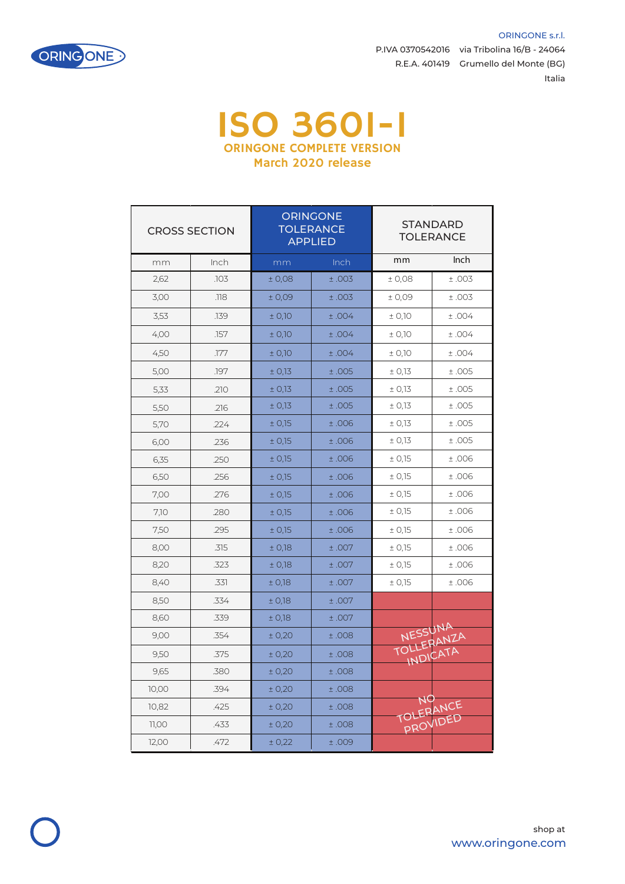

P.IVA 0370542016 via Tribolina 16/B - 24064 R.E.A. 401419 Grumello del Monte (BG) Italia

ORINGONE s.r.l.

## ISO 3601-1 ORINGONE COMPLETE VERSION March 2020 release

| <b>CROSS SECTION</b> |      | <b>ORINGONE</b><br><b>TOLERANCE</b><br><b>APPLIED</b> |       | <b>STANDARD</b><br><b>TOLERANCE</b> |          |
|----------------------|------|-------------------------------------------------------|-------|-------------------------------------|----------|
| mm                   | Inch | mm                                                    | Inch  | mm                                  | Inch     |
| 2,62                 | .103 | ± 0,08                                                | ±.003 | ±0,08                               | ±.003    |
| 3,00                 | .118 | ±0,09                                                 | ±.003 | ±0.09                               | ±.003    |
| 3,53                 | .139 | ± 0,10                                                | ±.004 | ± 0,10                              | ±.004    |
| 4,00                 | .157 | ± 0,10                                                | ±.004 | ± 0,10                              | ±.004    |
| 4,50                 | .177 | ± 0,10                                                | ±.004 | ± 0,10                              | ±.004    |
| 5,00                 | .197 | ± 0,13                                                | ±.005 | ± 0,13                              | ±.005    |
| 5,33                 | .210 | ± 0,13                                                | ±.005 | ± 0,13                              | ±.005    |
| 5,50                 | .216 | ± 0,13                                                | ±.005 | ± 0.13                              | ±.005    |
| 5,70                 | .224 | ± 0,15                                                | ±.006 | ± 0,13                              | ±.005    |
| 6,00                 | .236 | ± 0,15                                                | ±.006 | ± 0,13                              | ±.005    |
| 6,35                 | .250 | ± 0,15                                                | ±.006 | ± 0,15                              | ±.006    |
| 6,50                 | .256 | ± 0,15                                                | ±.006 | ± 0,15                              | ±.006    |
| 7,00                 | .276 | ± 0,15                                                | ±.006 | ± 0,15                              | ±.006    |
| 7,10                 | .280 | ± 0,15                                                | ±.006 | ± 0,15                              | ±.006    |
| 7,50                 | .295 | ± 0,15                                                | ±.006 | ± 0.15                              | ±.006    |
| 8,00                 | .315 | ± 0,18                                                | ±.007 | ± 0,15                              | ±.006    |
| 8,20                 | .323 | ± 0,18                                                | ±.007 | ± 0.15                              | ±.006    |
| 8,40                 | .331 | ± 0,18                                                | ±.007 | ± 0,15                              | ±.006    |
| 8,50                 | .334 | ± 0,18                                                | ±.007 |                                     |          |
| 8,60                 | .339 | ± 0,18                                                | ±.007 |                                     |          |
| 9,00                 | .354 | ± 0,20                                                | ±.008 | NESSUNA                             |          |
| 9,50                 | .375 | ± 0,20                                                | ±.008 | TOLLERANZA<br>INDICATA              |          |
| 9,65                 | .380 | ± 0,20                                                | ±.008 |                                     |          |
| 10,00                | .394 | ± 0,20                                                | ±.008 |                                     |          |
| 10,82                | .425 | ± 0,20                                                | 0.156 | NO<br>TOLERANCE                     |          |
| 11,00                | .433 | ± 0,20                                                | ±.008 |                                     | PROVIDED |
| 12,00                | .472 | ± 0,22                                                | ±.009 |                                     |          |